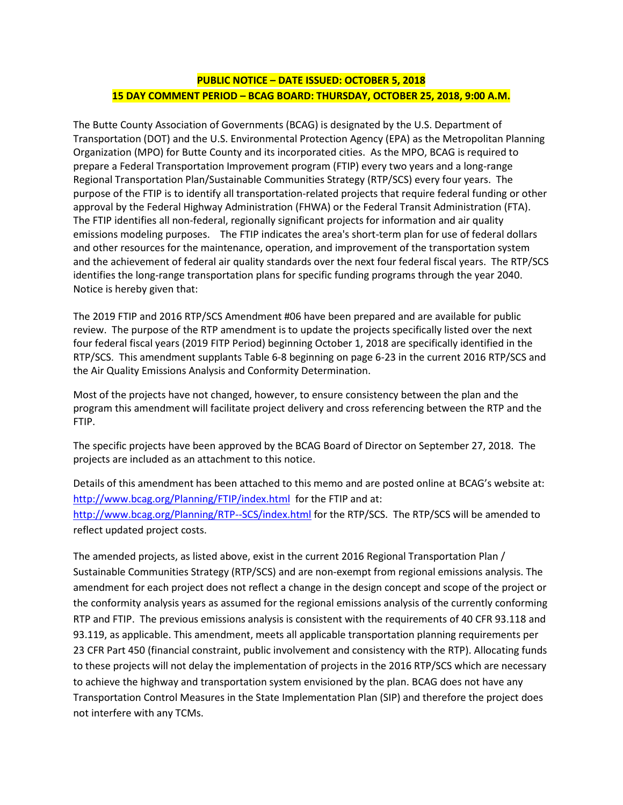## **PUBLIC NOTICE – DATE ISSUED: OCTOBER 5, 2018 15 DAY COMMENT PERIOD – BCAG BOARD: THURSDAY, OCTOBER 25, 2018, 9:00 A.M.**

The Butte County Association of Governments (BCAG) is designated by the U.S. Department of Transportation (DOT) and the U.S. Environmental Protection Agency (EPA) as the Metropolitan Planning Organization (MPO) for Butte County and its incorporated cities. As the MPO, BCAG is required to prepare a Federal Transportation Improvement program (FTIP) every two years and a long-range Regional Transportation Plan/Sustainable Communities Strategy (RTP/SCS) every four years. The purpose of the FTIP is to identify all transportation-related projects that require federal funding or other approval by the Federal Highway Administration (FHWA) or the Federal Transit Administration (FTA). The FTIP identifies all non-federal, regionally significant projects for information and air quality emissions modeling purposes. The FTIP indicates the area's short-term plan for use of federal dollars and other resources for the maintenance, operation, and improvement of the transportation system and the achievement of federal air quality standards over the next four federal fiscal years. The RTP/SCS identifies the long-range transportation plans for specific funding programs through the year 2040. Notice is hereby given that:

The 2019 FTIP and 2016 RTP/SCS Amendment #06 have been prepared and are available for public review. The purpose of the RTP amendment is to update the projects specifically listed over the next four federal fiscal years (2019 FITP Period) beginning October 1, 2018 are specifically identified in the RTP/SCS. This amendment supplants Table 6-8 beginning on page 6-23 in the current 2016 RTP/SCS and the Air Quality Emissions Analysis and Conformity Determination.

Most of the projects have not changed, however, to ensure consistency between the plan and the program this amendment will facilitate project delivery and cross referencing between the RTP and the FTIP.

The specific projects have been approved by the BCAG Board of Director on September 27, 2018. The projects are included as an attachment to this notice.

Details of this amendment has been attached to this memo and are posted online at BCAG's website at: <http://www.bcag.org/Planning/FTIP/index.html>for the FTIP and at: <http://www.bcag.org/Planning/RTP--SCS/index.html> for the RTP/SCS. The RTP/SCS will be amended to reflect updated project costs.

The amended projects, as listed above, exist in the current 2016 Regional Transportation Plan / Sustainable Communities Strategy (RTP/SCS) and are non-exempt from regional emissions analysis. The amendment for each project does not reflect a change in the design concept and scope of the project or the conformity analysis years as assumed for the regional emissions analysis of the currently conforming RTP and FTIP. The previous emissions analysis is consistent with the requirements of 40 CFR 93.118 and 93.119, as applicable. This amendment, meets all applicable transportation planning requirements per 23 CFR Part 450 (financial constraint, public involvement and consistency with the RTP). Allocating funds to these projects will not delay the implementation of projects in the 2016 RTP/SCS which are necessary to achieve the highway and transportation system envisioned by the plan. BCAG does not have any Transportation Control Measures in the State Implementation Plan (SIP) and therefore the project does not interfere with any TCMs.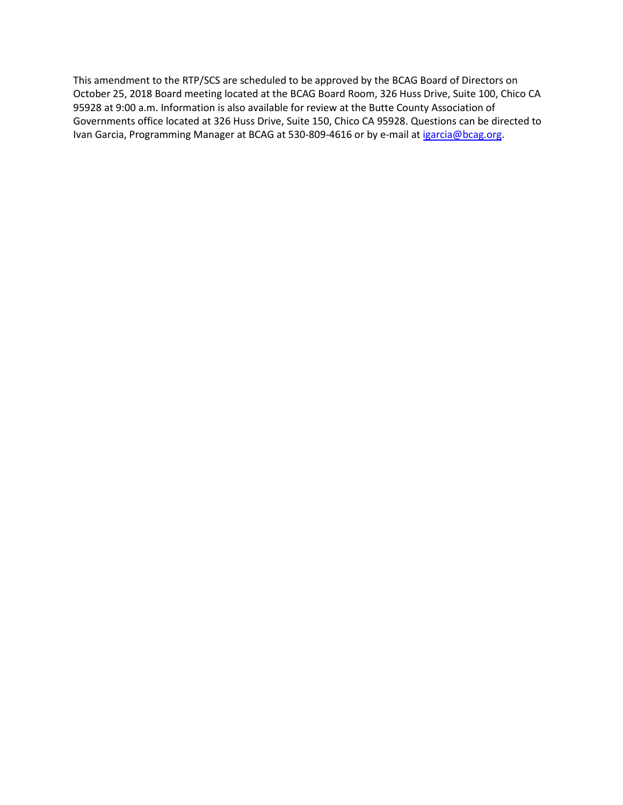This amendment to the RTP/SCS are scheduled to be approved by the BCAG Board of Directors on October 25, 2018 Board meeting located at the BCAG Board Room, 326 Huss Drive, Suite 100, Chico CA 95928 at 9:00 a.m. Information is also available for review at the Butte County Association of Governments office located at 326 Huss Drive, Suite 150, Chico CA 95928. Questions can be directed to Ivan Garcia, Programming Manager at BCAG at 530-809-4616 or by e-mail a[t igarcia@bcag.org.](mailto:igarcia@bcag.org)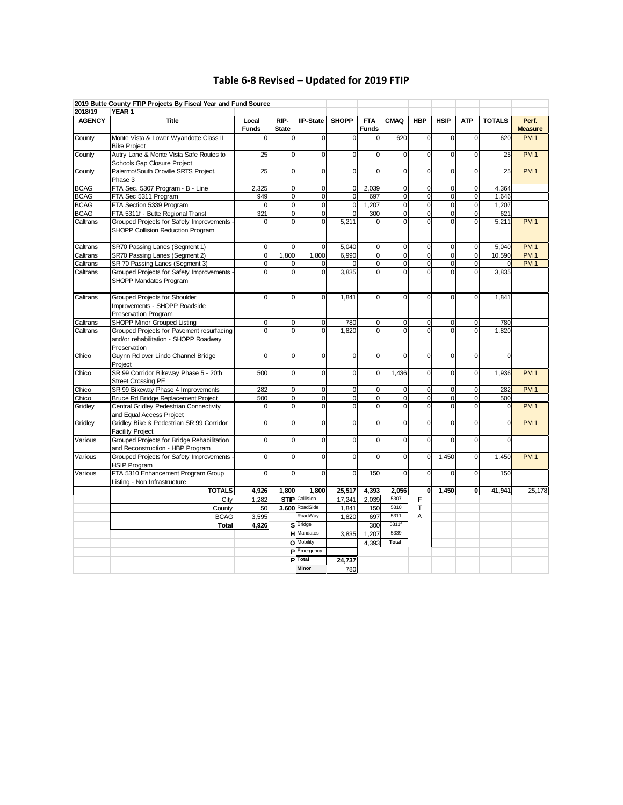## **Table 6-8 Revised – Updated for 2019 FTIP**

|               | 2019 Butte County FTIP Projects By Fiscal Year and Fund Source                                     |                         |                      |                         |                |                            |                |                         |                         |                |               |                         |
|---------------|----------------------------------------------------------------------------------------------------|-------------------------|----------------------|-------------------------|----------------|----------------------------|----------------|-------------------------|-------------------------|----------------|---------------|-------------------------|
| 2018/19       | YEAR 1                                                                                             |                         |                      |                         |                |                            |                |                         |                         |                |               |                         |
| <b>AGENCY</b> | <b>Title</b>                                                                                       | Local<br><b>Funds</b>   | RIP-<br><b>State</b> | <b>IIP-State</b>        | <b>SHOPP</b>   | <b>FTA</b><br><b>Funds</b> | <b>CMAQ</b>    | <b>HBP</b>              | <b>HSIP</b>             | <b>ATP</b>     | <b>TOTALS</b> | Perf.<br><b>Measure</b> |
| County        | Monte Vista & Lower Wyandotte Class II<br><b>Bike Project</b>                                      | $\Omega$                | $\Omega$             | 0                       | $\mathbf 0$    | $\mathbf 0$                | 620            | $\Omega$                | $\mathbf 0$             | $\mathbf 0$    | 620           | PM <sub>1</sub>         |
| County        | Autry Lane & Monte Vista Safe Routes to<br>Schools Gap Closure Project                             | 25                      | $\mathbf 0$          | $\overline{0}$          | $\mathbf 0$    | $\mathbf 0$                | $\mathbf 0$    | 0                       | $\Omega$                | $\Omega$       | 25            | PM <sub>1</sub>         |
| County        | Palermo/South Oroville SRTS Project,<br>Phase 3                                                    | 25                      | $\mathbf 0$          | $\Omega$                | $\Omega$       | $\Omega$                   | $\Omega$       | $\Omega$                | $\Omega$                | $\Omega$       | 25            | PM <sub>1</sub>         |
| <b>BCAG</b>   | FTA Sec. 5307 Program - B - Line                                                                   | 2,325                   | $\pmb{0}$            | $\mathbf 0$             | $\overline{0}$ | 2,039                      | $\mathbf 0$    | $\mathbf 0$             | $\mathbf 0$             | 0              | 4,364         |                         |
| <b>BCAG</b>   | FTA Sec 5311 Program                                                                               | 949                     | $\overline{0}$       | $\overline{0}$          | $\overline{0}$ | 697                        | $\overline{0}$ | $\overline{0}$          | $\overline{0}$          | $\mathbf 0$    | 1.646         |                         |
| <b>BCAG</b>   | FTA Section 5339 Program                                                                           | $\Omega$                | $\pmb{0}$            | $\mathbf 0$             | $\mathbf 0$    | 1,207                      | $\mathbf 0$    | $\mathbf 0$             | $\mathbf 0$             | $\mathbf 0$    | 1,207         |                         |
| <b>BCAG</b>   | FTA 5311f - Butte Regional Transt                                                                  | 321                     | $\overline{0}$       | $\overline{\mathbf{0}}$ | $\mathbf 0$    | 300                        | $\overline{0}$ | $\overline{\mathbf{0}}$ | $\overline{\mathbf{0}}$ | 0              | 621           |                         |
| Caltrans      | Grouped Projects for Safety Improvements<br>SHOPP Collision Reduction Program                      | $\Omega$                | $\overline{0}$       | $\overline{0}$          | 5,211          | $\Omega$                   | $\overline{0}$ | $\overline{0}$          | $\overline{0}$          |                | 5,211         | PM <sub>1</sub>         |
| Caltrans      | SR70 Passing Lanes (Segment 1)                                                                     | $\pmb{0}$               | $\mathbf 0$          | $\mathbf 0$             | 5,040          | $\mathbf 0$                | $\mathbf 0$    | $\pmb{0}$               | $\mathbf 0$             | $\mathbf 0$    | 5,040         | PM <sub>1</sub>         |
| Caltrans      | SR70 Passing Lanes (Segment 2)                                                                     | $\overline{0}$          | 1,800                | 1,800                   | 6,990          | $\overline{\mathbf{0}}$    | $\overline{0}$ | $\overline{0}$          | $\overline{\mathbf{0}}$ | $\overline{0}$ | 10,590        | PM1                     |
| Caltrans      | SR 70 Passing Lanes (Segment 3)                                                                    | $\mathbf 0$             | $\mathbf 0$          | $\mathbf 0$             | $\mathbf 0$    | $\mathbf 0$                | $\mathbf 0$    | $\pmb{0}$               | $\mathbf 0$             | $\mathbf 0$    | 0             | PM <sub>1</sub>         |
| Caltrans      | Grouped Projects for Safety Improvements<br>SHOPP Mandates Program                                 | 0                       | $\mathbf 0$          | $\overline{0}$          | 3,835          | $\overline{0}$             | $\mathbf 0$    | $\overline{0}$          | $\mathbf 0$             |                | 3,835         |                         |
| Caltrans      | Grouped Projects for Shoulder<br>Improvements - SHOPP Roadside<br>Preservation Program             | $\pmb{0}$               | $\Omega$             | 0                       | 1,841          | $\Omega$                   | $\Omega$       | $\Omega$                | $\Omega$                | $\Omega$       | 1,841         |                         |
| Caltrans      | <b>SHOPP Minor Grouped Listing</b>                                                                 | $\mathbf{0}$            | $\pmb{0}$            | $\mathbf 0$             | 780            | $\mathbf 0$                | $\mathbf 0$    | 0                       | 0                       | $\Omega$       | 780           |                         |
| Caltrans      | Grouped Projects for Pavement resurfacing<br>and/or rehabilitation - SHOPP Roadway<br>Preservation | $\Omega$                | $\Omega$             | $\Omega$                | 1,820          | $\Omega$                   | $\Omega$       | $\Omega$                | $\Omega$                | $\Omega$       | 1,820         |                         |
| Chico         | Guynn Rd over Lindo Channel Bridge<br>Project                                                      | $\mathbf 0$             | $\overline{0}$       | $\overline{\mathbf{0}}$ | $\overline{0}$ | $\overline{0}$             | $\overline{0}$ | $\overline{0}$          | $\overline{0}$          | $\Omega$       | $\Omega$      |                         |
| Chico         | SR 99 Corridor Bikeway Phase 5 - 20th<br><b>Street Crossing PE</b>                                 | 500                     | $\mathbf 0$          | $\overline{0}$          | $\overline{0}$ | $\mathbf 0$                | 1,436          | 0                       | $\mathbf 0$             | $\Omega$       | 1,936         | PM <sub>1</sub>         |
| Chico         | SR 99 Bikeway Phase 4 Improvements                                                                 | 282                     | $\pmb{0}$            | $\overline{\mathbf{0}}$ | $\overline{0}$ | $\mathbf 0$                | $\mathbf 0$    | 0                       | $\mathbf 0$             | $\Omega$       | 282           | PM <sub>1</sub>         |
| Chico         | Bruce Rd Bridge Replacement Project                                                                | 500                     | $\mathbf 0$          | $\mathbf 0$             | $\overline{0}$ | $\pmb{0}$                  | $\mathbf 0$    | 0                       | $\mathbf 0$             | $\mathbf 0$    | 500           |                         |
| Gridley       | Central Gridley Pedestrian Connectivity<br>and Equal Access Project                                | $\mathbf 0$             | $\mathbf 0$          | $\overline{0}$          | 0              | $\overline{0}$             | $\mathbf 0$    | 0                       | $\mathbf 0$             |                | 0             | PM <sub>1</sub>         |
| Gridley       | Gridley Bike & Pedestrian SR 99 Corridor<br><b>Facility Project</b>                                | $\mathbf 0$             | $\mathbf 0$          | $\mathbf 0$             | $\overline{0}$ | $\mathbf 0$                | $\overline{0}$ | 0                       | $\mathbf 0$             | $\Omega$       | 0             | PM <sub>1</sub>         |
| Various       | Grouped Projects for Bridge Rehabilitation<br>and Reconstruction - HBP Program                     | $\mathbf 0$             | $\mathbf 0$          | 0                       | $\mathbf 0$    | $\mathbf 0$                | $\mathbf 0$    | 0                       | $\mathbf 0$             | 0              | 0             |                         |
| Various       | Grouped Projects for Safety Improvements<br><b>HSIP Program</b>                                    | $\overline{\mathbf{0}}$ | $\overline{0}$       | $\Omega$                | $\overline{0}$ | $\Omega$                   | $\overline{0}$ | 0                       | 1,450                   | $\Omega$       | 1,450         | PM <sub>1</sub>         |
| Various       | FTA 5310 Enhancement Program Group<br>Listing - Non Infrastructure                                 | $\Omega$                | $\Omega$             | $\Omega$                | $\Omega$       | 150                        | $\Omega$       | $\Omega$                | $\Omega$                | $\Omega$       | 150           |                         |
|               | <b>TOTALS</b>                                                                                      | 4,926                   | 1,800                | 1.800                   | 25,517         | 4,393                      | 2.056          | 0                       | 1.450                   | O              | 41.941        | 25,178                  |
|               | City                                                                                               | 1,282                   |                      | <b>STIP</b> Collision   | 17,241         | 2,039                      | 5307           | F                       |                         |                |               |                         |
|               | County                                                                                             | 50                      |                      | 3,600 RoadSide          | 1.841          | 150                        | 5310           | T                       |                         |                |               |                         |
|               | <b>BCAG</b>                                                                                        | 3,595                   |                      | RoadWay                 | 1,820          | 697                        | 5311           | A                       |                         |                |               |                         |
|               | <b>Total</b>                                                                                       | 4.926                   |                      | S Bridge                |                | 300                        | 5311f          |                         |                         |                |               |                         |
|               |                                                                                                    |                         |                      | <b>H</b> Mandates       | 3.835          | 1.207                      | 5339           |                         |                         |                |               |                         |
|               |                                                                                                    |                         |                      | <b>O</b> Mobility       |                | 4.393                      | Total          |                         |                         |                |               |                         |
|               |                                                                                                    |                         |                      | <b>P</b> Emergency      |                |                            |                |                         |                         |                |               |                         |
|               |                                                                                                    |                         |                      | <b>P</b> Total<br>Minor | 24,737<br>780  |                            |                |                         |                         |                |               |                         |
|               |                                                                                                    |                         |                      |                         |                |                            |                |                         |                         |                |               |                         |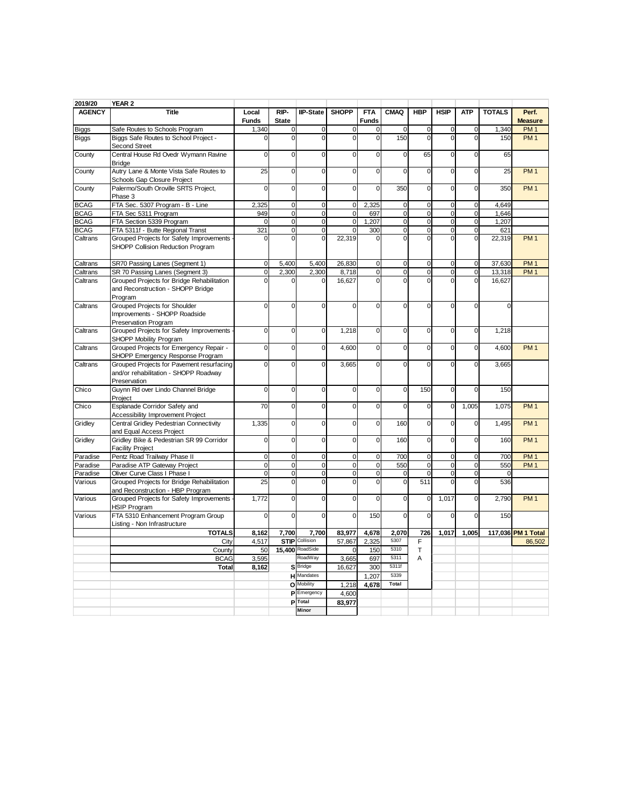| 2019/20       | YEAR 2                                                                                             |                       |                      |                       |                |                            |                |                |                         |                |               |                         |
|---------------|----------------------------------------------------------------------------------------------------|-----------------------|----------------------|-----------------------|----------------|----------------------------|----------------|----------------|-------------------------|----------------|---------------|-------------------------|
| <b>AGENCY</b> | <b>Title</b>                                                                                       | Local<br><b>Funds</b> | RIP-<br><b>State</b> | <b>IIP-State</b>      | <b>SHOPP</b>   | <b>FTA</b><br><b>Funds</b> | <b>CMAQ</b>    | <b>HBP</b>     | <b>HSIP</b>             | <b>ATP</b>     | <b>TOTALS</b> | Perf.<br><b>Measure</b> |
| <b>Biggs</b>  | Safe Routes to Schools Program                                                                     | 1,340                 | $\mathbf 0$          | $\mathbf 0$           | $\mathbf 0$    | $\pmb{0}$                  | $\mathbf 0$    | $\pmb{0}$      | $\mathbf 0$             | $\mathbf 0$    | 1,340         | PM <sub>1</sub>         |
| <b>Biggs</b>  | Biggs Safe Routes to School Project -<br>Second Street                                             | $\Omega$              | $\Omega$             | $\Omega$              | $\Omega$       | $\overline{0}$             | 150            | $\Omega$       | $\Omega$                | $\Omega$       | 150           | PM <sub>1</sub>         |
| County        | Central House Rd Ovedr Wymann Ravine<br><b>Bridge</b>                                              | $\mathbf{0}$          | $\mathbf 0$          | $\mathbf 0$           | $\mathbf 0$    | $\mathbf 0$                | $\mathbf 0$    | 65             | $\mathbf 0$             | $\mathbf 0$    | 65            |                         |
| County        | Autry Lane & Monte Vista Safe Routes to<br>Schools Gap Closure Project                             | 25                    | $\mathbf 0$          | $\mathbf 0$           | $\mathbf 0$    | $\mathbf 0$                | $\mathbf 0$    | $\mathbf 0$    | $\mathbf 0$             | $\mathbf 0$    | 25            | PM <sub>1</sub>         |
| County        | Palermo/South Oroville SRTS Project,<br>Phase 3                                                    | $\overline{0}$        | $\mathbf 0$          | $\mathbf 0$           | $\mathbf 0$    | $\overline{0}$             | 350            | $\overline{0}$ | $\mathbf 0$             | $\mathbf 0$    | 350           | PM <sub>1</sub>         |
| <b>BCAG</b>   | FTA Sec. 5307 Program - B - Line                                                                   | 2,325                 | $\mathbf 0$          | $\mathbf 0$           | $\overline{0}$ | 2,325                      | $\mathbf 0$    | $\pmb{0}$      | $\mathbf 0$             | $\mathbf 0$    | 4.649         |                         |
| <b>BCAG</b>   | FTA Sec 5311 Program                                                                               | 949                   | $\mathbf 0$          | $\mathbf 0$           | $\mathbf 0$    | 697                        | $\mathbf 0$    | $\overline{0}$ | $\mathbf 0$             | $\mathbf 0$    | 1,646         |                         |
| <b>BCAG</b>   | FTA Section 5339 Program                                                                           | $\mathbf 0$           | $\mathbf 0$          | $\overline{0}$        | $\mathbf 0$    | 1,207                      | $\overline{0}$ | $\overline{0}$ | $\overline{\mathbf{0}}$ | $\overline{0}$ | 1,207         |                         |
| <b>BCAG</b>   | FTA 5311f - Butte Regional Transt                                                                  | 321                   | $\mathbf 0$          | $\mathbf 0$           | $\mathbf 0$    | 300                        | $\mathbf 0$    | $\pmb{0}$      | $\mathbf 0$             | $\mathbf 0$    | 621           |                         |
| Caltrans      | Grouped Projects for Safety Improvements<br>SHOPP Collision Reduction Program                      | $\Omega$              | $\mathbf 0$          | $\Omega$              | 22,319         | 0                          | $\Omega$       | $\overline{0}$ | $\overline{0}$          |                | 22,319        | PM <sub>1</sub>         |
| Caltrans      | SR70 Passing Lanes (Segment 1)                                                                     | $\mathbf{0}$          | 5,400                | 5,400                 | 26,830         | $\mathbf 0$                | $\mathbf 0$    | $\mathbf 0$    | $\pmb{0}$               | $\overline{0}$ | 37,630        | PM1                     |
| Caltrans      | SR 70 Passing Lanes (Segment 3)                                                                    | $\mathbf{0}$          | 2.300                | 2.300                 | 8,718          | $\overline{0}$             | $\mathbf 0$    | $\overline{0}$ | $\mathbf 0$             | $\mathbf 0$    | 13,318        | PM <sub>1</sub>         |
| Caltrans      | Grouped Projects for Bridge Rehabilitation<br>and Reconstruction - SHOPP Bridge<br>Program         | $\overline{0}$        |                      |                       | 16,627         | $\overline{0}$             | $\overline{0}$ | $\overline{0}$ | $\Omega$                |                | 16,627        |                         |
| Caltrans      | <b>Grouped Projects for Shoulder</b><br>Improvements - SHOPP Roadside<br>Preservation Program      | $\mathbf 0$           | 0                    | $\mathbf 0$           | $\mathbf 0$    | $\mathbf 0$                | 0              | $\mathbf 0$    | $\mathbf 0$             | $\mathbf 0$    | 0             |                         |
| Caltrans      | Grouped Projects for Safety Improvements<br>SHOPP Mobility Program                                 | $\overline{0}$        | $\mathbf 0$          | $\mathbf 0$           | 1.218          | $\mathbf 0$                | $\mathbf 0$    | $\mathbf 0$    | $\overline{0}$          | $\mathbf 0$    | 1,218         |                         |
| Caltrans      | Grouped Projects for Emergency Repair -<br>SHOPP Emergency Response Program                        | $\mathbf 0$           | $\mathbf 0$          | $\mathbf 0$           | 4,600          | $\mathbf 0$                | $\mathbf 0$    | $\mathbf 0$    | $\mathbf 0$             | $\mathbf 0$    | 4,600         | PM <sub>1</sub>         |
| Caltrans      | Grouped Projects for Pavement resurfacing<br>and/or rehabilitation - SHOPP Roadway<br>Preservation | $\mathbf 0$           | $\mathbf 0$          | $\mathbf 0$           | 3,665          | $\mathbf 0$                | $\mathbf 0$    | $\mathbf 0$    | $\mathbf 0$             | $\mathbf 0$    | 3,665         |                         |
| Chico         | Guynn Rd over Lindo Channel Bridge<br>Project                                                      | $\overline{0}$        | $\mathbf 0$          | $\mathbf 0$           | $\mathbf 0$    | $\overline{0}$             | $\overline{0}$ | 150            | $\overline{0}$          | $\mathbf 0$    | 150           |                         |
| Chico         | Esplanade Corridor Safety and<br><b>Accessibility Improvement Project</b>                          | 70                    | $\mathbf 0$          | $\Omega$              | $\Omega$       | $\mathbf 0$                | $\Omega$       | $\mathbf 0$    | $\mathbf 0$             | 1,005          | 1,075         | PM <sub>1</sub>         |
| Gridley       | Central Gridley Pedestrian Connectivity<br>and Equal Access Project                                | 1,335                 | $\mathbf 0$          | $\mathbf 0$           | $\mathbf 0$    | $\mathbf 0$                | 160            | $\mathbf 0$    | $\mathbf 0$             | $\mathbf 0$    | 1,495         | PM <sub>1</sub>         |
| Gridley       | Gridley Bike & Pedestrian SR 99 Corridor<br><b>Facility Project</b>                                | $\mathbf{0}$          | $\mathbf 0$          | $\mathbf 0$           | $\mathbf 0$    | $\overline{0}$             | 160            | $\overline{0}$ | $\mathbf 0$             | $\mathbf 0$    | 160           | PM <sub>1</sub>         |
| Paradise      | Pentz Road Trailway Phase II                                                                       | $\mathbf{0}$          | $\mathbf 0$          | $\mathbf 0$           | $\mathbf 0$    | $\mathbf 0$                | 700            | $\mathbf 0$    | $\mathbf 0$             | $\mathbf 0$    | 700           | PM <sub>1</sub>         |
| Paradise      | Paradise ATP Gateway Project                                                                       | $\overline{0}$        | $\mathbf 0$          | $\mathbf 0$           | $\mathbf 0$    | $\overline{0}$             | 550            | $\mathbf 0$    | $\mathbf 0$             | $\mathbf 0$    | 550           | PM <sub>1</sub>         |
| Paradise      | Oliver Curve Class I Phase I                                                                       | $\mathbf{0}$          | $\mathbf 0$          | $\mathbf 0$           | $\mathbf 0$    | $\mathbf 0$                | $\mathbf 0$    | $\mathbf 0$    | $\mathbf 0$             | $\mathbf 0$    | 0             |                         |
| Various       | Grouped Projects for Bridge Rehabilitation<br>and Reconstruction - HBP Program                     | 25                    | $\mathbf 0$          | $\mathbf 0$           | $\Omega$       | $\mathbf 0$                | $\mathbf 0$    | 511            | $\Omega$                | $\mathbf 0$    | 536           |                         |
| Various       | Grouped Projects for Safety Improvements -<br><b>HSIP Program</b>                                  | 1,772                 | $\mathbf 0$          | $\mathbf 0$           | $\mathbf 0$    | $\mathbf 0$                | $\mathbf 0$    | $\mathbf 0$    | 1,017                   | $\mathbf 0$    | 2,790         | PM <sub>1</sub>         |
| Various       | FTA 5310 Enhancement Program Group<br>Listing - Non Infrastructure                                 | $\overline{0}$        | $\mathbf 0$          | 0                     | $\mathbf 0$    | 150                        | $\mathbf 0$    | $\mathbf 0$    | $\mathbf 0$             | $\mathbf 0$    | 150           |                         |
|               | <b>TOTALS</b>                                                                                      | 8,162                 | 7,700                | 7,700                 | 83,977         | 4,678                      | 2,070          | 726            | 1,017                   | 1,005          |               | 117,036 PM 1 Total      |
|               | City                                                                                               | 4,517                 |                      | <b>STIP</b> Collision | 57,867         | 2,325                      | 5307           | F              |                         |                |               | 86.502                  |
|               | County                                                                                             | 50                    | 15,400               | RoadSide              | $\Omega$       | 150                        | 5310           | $\mathsf{T}$   |                         |                |               |                         |
|               | <b>BCAG</b>                                                                                        | 3.595                 |                      | RoadWay               | 3,665          | 697                        | 5311           | A              |                         |                |               |                         |
|               | <b>Total</b>                                                                                       | 8,162                 | sl                   | <b>Bridge</b>         | 16,627         | 300                        | 5311f          |                |                         |                |               |                         |
|               |                                                                                                    |                       |                      | <b>H</b> Mandates     |                | 1.207                      | 5339           |                |                         |                |               |                         |
|               |                                                                                                    |                       |                      | O Mobility            | 1,218          | 4,678                      | Total          |                |                         |                |               |                         |
|               |                                                                                                    |                       |                      | P Emergency           | 4,600          |                            |                |                |                         |                |               |                         |
|               |                                                                                                    |                       | P                    | <b>Total</b>          | 83,977         |                            |                |                |                         |                |               |                         |
|               |                                                                                                    |                       |                      | Minor                 |                |                            |                |                |                         |                |               |                         |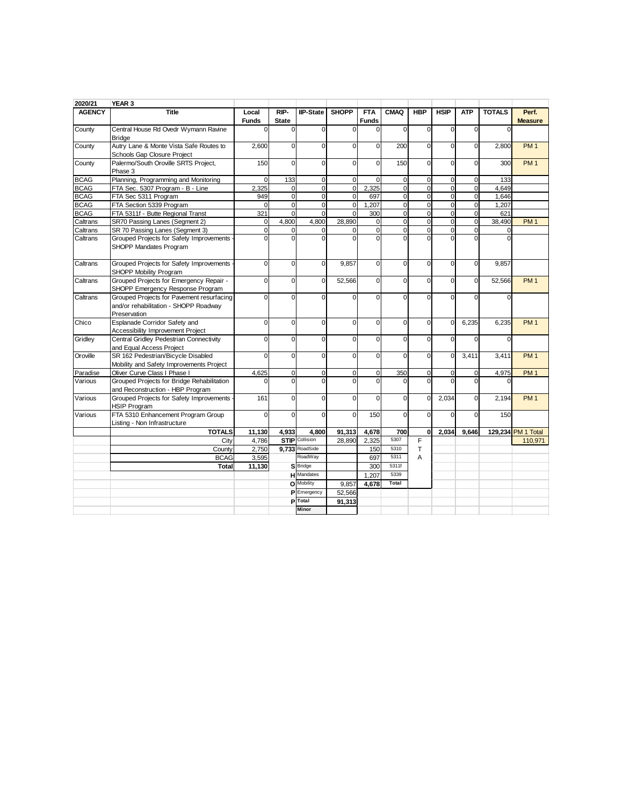| 2020/21              | YEAR 3                                                            |                            |                            |                       |                       |                     |                         |                                           |                            |                         |               |                 |
|----------------------|-------------------------------------------------------------------|----------------------------|----------------------------|-----------------------|-----------------------|---------------------|-------------------------|-------------------------------------------|----------------------------|-------------------------|---------------|-----------------|
| <b>AGENCY</b>        | <b>Title</b>                                                      | Local                      | RIP-                       | <b>IIP-State</b>      | <b>SHOPP</b>          | <b>FTA</b>          | <b>CMAQ</b>             | <b>HBP</b>                                | <b>HSIP</b>                | <b>ATP</b>              | <b>TOTALS</b> | Perf.           |
|                      |                                                                   | <b>Funds</b>               | <b>State</b>               |                       |                       | <b>Funds</b>        |                         |                                           |                            |                         |               | <b>Measure</b>  |
| County               | Central House Rd Ovedr Wymann Ravine                              | $\Omega$                   | $\Omega$                   | $\Omega$              | $\Omega$              | $\Omega$            | $\Omega$                | $\mathbf 0$                               | $\Omega$                   | $\Omega$                | $\Omega$      |                 |
|                      | <b>Bridge</b>                                                     |                            |                            |                       |                       |                     |                         |                                           |                            |                         |               |                 |
| County               | Autry Lane & Monte Vista Safe Routes to                           | 2,600                      | $\Omega$                   | $\Omega$              | $\Omega$              | $\Omega$            | 200                     | $\mathbf 0$                               | $\Omega$                   | $\Omega$                | 2,800         | PM <sub>1</sub> |
|                      | Schools Gap Closure Project                                       |                            |                            |                       |                       |                     |                         |                                           |                            |                         |               |                 |
| County               | Palermo/South Oroville SRTS Project,                              | 150                        | $\Omega$                   | $\Omega$              | $\Omega$              | $\Omega$            | 150                     | 0                                         | $\Omega$                   | $\Omega$                | 300           | PM <sub>1</sub> |
|                      | Phase 3                                                           |                            |                            |                       |                       |                     |                         |                                           |                            |                         |               |                 |
| <b>BCAG</b>          | Planning, Programming and Monitoring                              | $\mathbf 0$                | 133                        | 0                     | $\mathbf 0$           | $\Omega$            | $\mathbf 0$             | $\mathbf 0$                               | $\mathbf 0$                | $\mathbf 0$             | 133           |                 |
| <b>BCAG</b>          | FTA Sec. 5307 Program - B - Line                                  | 2,325                      | 0                          | 0                     | $\mathbf 0$           | 2,325               | $\mathbf 0$             | 0                                         | $\mathbf 0$                | 0                       | 4,649         |                 |
| <b>BCAG</b>          | FTA Sec 5311 Program                                              | 949                        | $\mathbf 0$                | 0                     | $\Omega$              | 697                 | $\Omega$                | $\mathbf 0$                               | $\Omega$                   | $\Omega$                | 1.646         |                 |
| <b>BCAG</b>          | FTA Section 5339 Program                                          | $\Omega$                   | $\mathbf 0$                | 0<br>$\Omega$         | $\mathbf{0}$          | 1,207               | $\mathbf 0$<br>$\Omega$ | $\overline{\mathbf{0}}$                   | $\mathbf 0$                | $\mathbf 0$             | 1,207         |                 |
| <b>BCAG</b>          | FTA 5311f - Butte Regional Transt                                 | 321                        | $\mathbf 0$                |                       | $\Omega$              | 300                 | $\mathbf{O}$            | $\overline{0}$<br>$\overline{\mathbf{0}}$ | $\mathbf 0$<br>$\mathbf 0$ | $\Omega$                | 621           |                 |
| Caltrans             | SR70 Passing Lanes (Segment 2)<br>SR 70 Passing Lanes (Segment 3) | $\mathbf 0$<br>$\mathbf 0$ | 4,800                      | 4,800<br>$\mathbf 0$  | 28,890<br>$\mathbf 0$ | 0<br>$\overline{0}$ | $\overline{0}$          | $\overline{0}$                            | $\mathbf 0$                | $\mathbf 0$<br>$\Omega$ | 38,490        | PM <sub>1</sub> |
| Caltrans<br>Caltrans | Grouped Projects for Safety Improvements                          | $\Omega$                   | $\mathbf 0$<br>$\mathbf 0$ | $\Omega$              | $\Omega$              | $\Omega$            | $\Omega$                | $\Omega$                                  | $\Omega$                   |                         | 0<br>$\Omega$ |                 |
|                      | SHOPP Mandates Program                                            |                            |                            |                       |                       |                     |                         |                                           |                            |                         |               |                 |
| Caltrans             | Grouped Projects for Safety Improvements                          | $\mathbf 0$                | $\mathbf 0$                | 0                     | 9,857                 | 0                   | $\Omega$                | 0                                         | $\mathbf 0$                | $\mathbf 0$             | 9,857         |                 |
|                      | SHOPP Mobility Program                                            |                            |                            |                       |                       |                     |                         |                                           |                            |                         |               |                 |
| Caltrans             | Grouped Projects for Emergency Repair -                           | $\mathbf 0$                | $\mathbf 0$                | 0                     | 52,566                | 0                   | $\Omega$                | $\mathbf 0$                               | $\mathbf 0$                | $\Omega$                | 52,566        | PM <sub>1</sub> |
|                      | SHOPP Emergency Response Program                                  |                            |                            |                       |                       |                     |                         |                                           |                            |                         |               |                 |
| Caltrans             | Grouped Projects for Pavement resurfacing                         | $\mathbf 0$                | $\mathbf 0$                | $\Omega$              | $\Omega$              | 0                   | $\Omega$                | 0                                         | $\mathbf 0$                | $\Omega$                |               |                 |
|                      | and/or rehabilitation - SHOPP Roadway                             |                            |                            |                       |                       |                     |                         |                                           |                            |                         |               |                 |
|                      | Preservation                                                      |                            |                            |                       |                       |                     |                         |                                           |                            |                         |               |                 |
| Chico                | Esplanade Corridor Safety and                                     | $\mathbf 0$                | $\Omega$                   | $\Omega$              | $\Omega$              | 0                   | $\Omega$                | 0                                         | $\Omega$                   | 6,235                   | 6,235         | PM <sub>1</sub> |
|                      | Accessibility Improvement Project                                 |                            |                            |                       |                       |                     |                         |                                           |                            |                         |               |                 |
| Gridley              | Central Gridley Pedestrian Connectivity                           | 0                          | $\mathbf 0$                | $\Omega$              | $\Omega$              | 0                   | $\Omega$                | 0                                         | $\Omega$                   |                         | ſ             |                 |
|                      | and Equal Access Project                                          |                            |                            |                       |                       |                     |                         |                                           |                            |                         |               |                 |
| Oroville             | SR 162 Pedestrian/Bicycle Disabled                                | $\Omega$                   | $\mathbf 0$                | $\mathbf 0$           | $\Omega$              | 0                   | $\Omega$                | 0                                         | $\mathbf 0$                | 3,411                   | 3,411         | PM <sub>1</sub> |
|                      | Mobility and Safety Improvements Project                          |                            |                            |                       |                       |                     |                         |                                           |                            |                         |               |                 |
| Paradise             | Oliver Curve Class I Phase I                                      | 4,625                      | $\mathbf 0$                | $\Omega$              | $\mathbf 0$           | 0                   | 350                     | 0                                         | $\mathbf 0$                | $\Omega$                | 4,975         | PM <sub>1</sub> |
| Various              | Grouped Projects for Bridge Rehabilitation                        |                            | $\Omega$                   | $\Omega$              | $\Omega$              | $\Omega$            | $\Omega$                | $\mathbf 0$                               | $\Omega$                   | $\Omega$                |               |                 |
|                      | and Reconstruction - HBP Program                                  |                            |                            |                       |                       |                     |                         |                                           |                            |                         |               |                 |
| Various              | Grouped Projects for Safety Improvements<br><b>HSIP Program</b>   | 161                        | $\mathbf 0$                | 0                     | $\mathbf 0$           | 0                   | $\Omega$                | 0                                         | 2,034                      | $\Omega$                | 2,194         | PM <sub>1</sub> |
| Various              | FTA 5310 Enhancement Program Group                                | $\Omega$                   | $\mathbf 0$                | $\Omega$              | $\Omega$              | 150                 | $\Omega$                | $\Omega$                                  | $\Omega$                   | $\Omega$                | 150           |                 |
|                      | Listing - Non Infrastructure                                      |                            |                            |                       |                       |                     |                         |                                           |                            |                         |               |                 |
|                      | <b>TOTALS</b>                                                     | 11,130                     | 4,933                      | 4.800                 | 91,313                | 4,678               | 700                     | $\bf{0}$                                  | 2,034                      | 9,646                   | 129,234       | PM 1 Total      |
|                      | City                                                              | 4,786                      |                            | <b>STIP</b> Collision | 28,890                | 2,325               | 5307                    | F                                         |                            |                         |               | 110,971         |
|                      | County                                                            | 2,750                      |                            | 9.733 RoadSide        |                       | 150                 | 5310                    | T                                         |                            |                         |               |                 |
|                      | <b>BCAG</b>                                                       | 3.595                      |                            | RoadWay               |                       | 697                 | 5311                    | A                                         |                            |                         |               |                 |
|                      | Total                                                             | 11,130                     |                            | S Bridge              |                       | 300                 | 5311f                   |                                           |                            |                         |               |                 |
|                      |                                                                   |                            |                            | <b>H</b> Mandates     |                       | 1,207               | 5339                    |                                           |                            |                         |               |                 |
|                      |                                                                   |                            |                            | O Mobility            | 9.857                 | 4.678               | Total                   |                                           |                            |                         |               |                 |
|                      |                                                                   |                            |                            | <b>P</b> Emergency    | 52,566                |                     |                         |                                           |                            |                         |               |                 |
|                      |                                                                   |                            |                            | <b>P</b> Total        | 91,313                |                     |                         |                                           |                            |                         |               |                 |
|                      |                                                                   |                            |                            | <b>Minor</b>          |                       |                     |                         |                                           |                            |                         |               |                 |